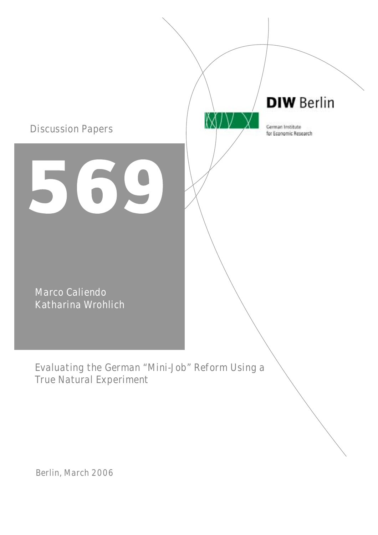

Berlin, March 2006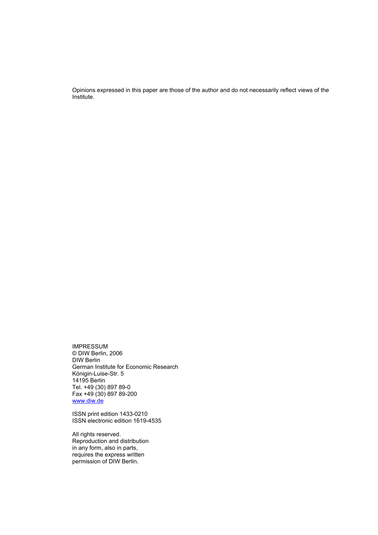Opinions expressed in this paper are those of the author and do not necessarily reflect views of the Institute.

IMPRESSUM © DIW Berlin, 2006 DIW Berlin German Institute for Economic Research Königin-Luise-Str. 5 14195 Berlin Tel. +49 (30) 897 89-0 Fax +49 (30) 897 89-200 www.diw.de

ISSN print edition 1433-0210 ISSN electronic edition 1619-4535

All rights reserved. Reproduction and distribution in any form, also in parts, requires the express written permission of DIW Berlin.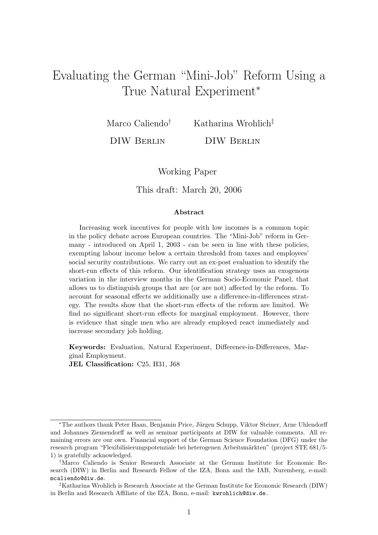# Evaluating the German "Mini-Job" Reform Using a True Natural Experiment<sup>∗</sup>

Marco Caliendo†

Katharina Wrohlich‡

DIW Berlin

DIW Berlin

Working Paper

This draft: March 20, 2006

#### Abstract

Increasing work incentives for people with low incomes is a common topic in the policy debate across European countries. The "Mini-Job" reform in Germany - introduced on April 1, 2003 - can be seen in line with these policies, exempting labour income below a certain threshold from taxes and employees' social security contributions. We carry out an ex-post evaluation to identify the short-run effects of this reform. Our identification strategy uses an exogenous variation in the interview months in the German Socio-Economic Panel, that allows us to distinguish groups that are (or are not) affected by the reform. To account for seasonal effects we additionally use a difference-in-differences strategy. The results show that the short-run effects of the reform are limited. We find no significant short-run effects for marginal employment. However, there is evidence that single men who are already employed react immediately and increase secondary job holding.

Keywords: Evaluation, Natural Experiment, Difference-in-Differences, Marginal Employment.

JEL Classification: C25, H31, J68

<sup>\*</sup>The authors thank Peter Haan, Benjamin Price, Jürgen Schupp, Viktor Steiner, Arne Uhlendorff and Johannes Ziemendorff as well as seminar participants at DIW for valuable comments. All remaining errors are our own. Financial support of the German Science Foundation (DFG) under the research program "Flexibilisierungspotenziale bei heterogenen Arbeitsmärkten" (project STE 681/5-1) is gratefully acknowledged.

<sup>†</sup>Marco Caliendo is Senior Research Associate at the German Institute for Economic Research (DIW) in Berlin and Research Fellow of the IZA, Bonn and the IAB, Nuremberg, e-mail: mcaliendo@diw.de.

<sup>‡</sup>Katharina Wrohlich is Research Associate at the German Institute for Economic Research (DIW) in Berlin and Research Affiliate of the IZA, Bonn, e-mail: kwrohlich@diw.de.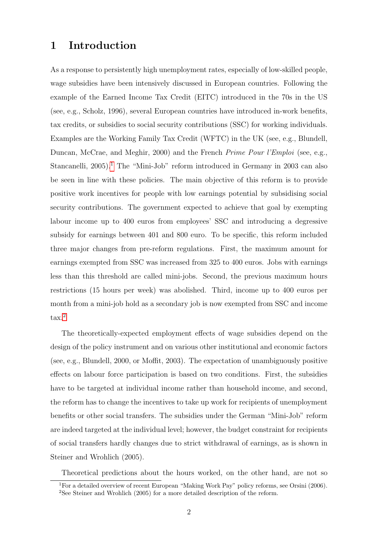### 1 Introduction

As a response to persistently high unemployment rates, especially of low-skilled people, wage subsidies have been intensively discussed in European countries. Following the example of the Earned Income Tax Credit (EITC) introduced in the 70s in the US (see, e.g., Scholz, 1996), several European countries have introduced in-work benefits, tax credits, or subsidies to social security contributions (SSC) for working individuals. Examples are the Working Family Tax Credit (WFTC) in the UK (see, e.g., Blundell, Duncan, McCrae, and Meghir, 2000) and the French Prime Pour l'Emploi (see, e.g., Stancanelli,  $2005$ <sup>[1](#page-4-0)</sup>. The "Mini-Job" reform introduced in Germany in  $2003$  can also be seen in line with these policies. The main objective of this reform is to provide positive work incentives for people with low earnings potential by subsidising social security contributions. The government expected to achieve that goal by exempting labour income up to 400 euros from employees' SSC and introducing a degressive subsidy for earnings between 401 and 800 euro. To be specific, this reform included three major changes from pre-reform regulations. First, the maximum amount for earnings exempted from SSC was increased from 325 to 400 euros. Jobs with earnings less than this threshold are called mini-jobs. Second, the previous maximum hours restrictions (15 hours per week) was abolished. Third, income up to 400 euros per month from a mini-job hold as a secondary job is now exempted from SSC and income tax.[2](#page-4-1)

The theoretically-expected employment effects of wage subsidies depend on the design of the policy instrument and on various other institutional and economic factors (see, e.g., Blundell, 2000, or Moffit, 2003). The expectation of unambiguously positive effects on labour force participation is based on two conditions. First, the subsidies have to be targeted at individual income rather than household income, and second, the reform has to change the incentives to take up work for recipients of unemployment benefits or other social transfers. The subsidies under the German "Mini-Job" reform are indeed targeted at the individual level; however, the budget constraint for recipients of social transfers hardly changes due to strict withdrawal of earnings, as is shown in Steiner and Wrohlich (2005).

Theoretical predictions about the hours worked, on the other hand, are not so

<span id="page-4-1"></span><span id="page-4-0"></span><sup>&</sup>lt;sup>1</sup>For a detailed overview of recent European "Making Work Pay" policy reforms, see Orsini (2006). <sup>2</sup>See Steiner and Wrohlich (2005) for a more detailed description of the reform.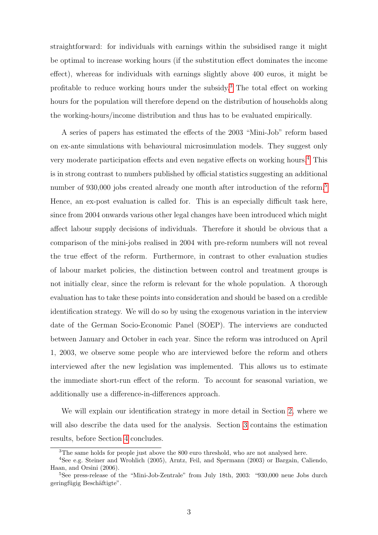straightforward: for individuals with earnings within the subsidised range it might be optimal to increase working hours (if the substitution effect dominates the income effect), whereas for individuals with earnings slightly above 400 euros, it might be profitable to reduce working hours under the subsidy.[3](#page-5-0) The total effect on working hours for the population will therefore depend on the distribution of households along the working-hours/income distribution and thus has to be evaluated empirically.

A series of papers has estimated the effects of the 2003 "Mini-Job" reform based on ex-ante simulations with behavioural microsimulation models. They suggest only very moderate participation effects and even negative effects on working hours.[4](#page-5-1) This is in strong contrast to numbers published by official statistics suggesting an additional number of 930,000 jobs created already one month after introduction of the reform.<sup>[5](#page-5-2)</sup> Hence, an ex-post evaluation is called for. This is an especially difficult task here, since from 2004 onwards various other legal changes have been introduced which might affect labour supply decisions of individuals. Therefore it should be obvious that a comparison of the mini-jobs realised in 2004 with pre-reform numbers will not reveal the true effect of the reform. Furthermore, in contrast to other evaluation studies of labour market policies, the distinction between control and treatment groups is not initially clear, since the reform is relevant for the whole population. A thorough evaluation has to take these points into consideration and should be based on a credible identification strategy. We will do so by using the exogenous variation in the interview date of the German Socio-Economic Panel (SOEP). The interviews are conducted between January and October in each year. Since the reform was introduced on April 1, 2003, we observe some people who are interviewed before the reform and others interviewed after the new legislation was implemented. This allows us to estimate the immediate short-run effect of the reform. To account for seasonal variation, we additionally use a difference-in-differences approach.

We will explain our identification strategy in more detail in Section [2,](#page-6-0) where we will also describe the data used for the analysis. Section [3](#page-12-0) contains the estimation results, before Section [4](#page-17-0) concludes.

<span id="page-5-1"></span><span id="page-5-0"></span><sup>&</sup>lt;sup>3</sup>The same holds for people just above the 800 euro threshold, who are not analysed here.

<sup>4</sup>See e.g. Steiner and Wrohlich (2005), Arntz, Feil, and Spermann (2003) or Bargain, Caliendo, Haan, and Orsini (2006).

<span id="page-5-2"></span><sup>&</sup>lt;sup>5</sup>See press-release of the "Mini-Job-Zentrale" from July 18th, 2003: "930,000 neue Jobs durch geringfügig Beschäftigte".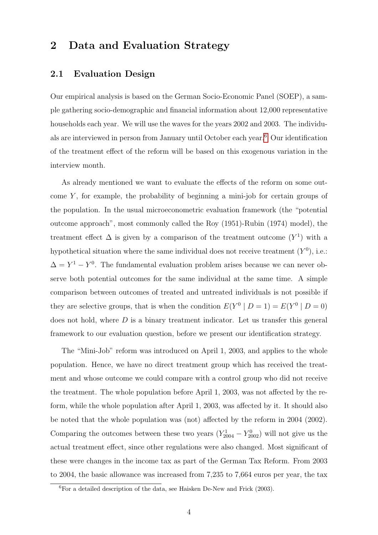### <span id="page-6-0"></span>2 Data and Evaluation Strategy

#### 2.1 Evaluation Design

Our empirical analysis is based on the German Socio-Economic Panel (SOEP), a sample gathering socio-demographic and financial information about 12,000 representative households each year. We will use the waves for the years 2002 and 2003. The individuals are interviewed in person from January until October each year.[6](#page-6-1) Our identification of the treatment effect of the reform will be based on this exogenous variation in the interview month.

As already mentioned we want to evaluate the effects of the reform on some outcome  $Y$ , for example, the probability of beginning a mini-job for certain groups of the population. In the usual microeconometric evaluation framework (the "potential outcome approach", most commonly called the Roy (1951)-Rubin (1974) model), the treatment effect  $\Delta$  is given by a comparison of the treatment outcome  $(Y^1)$  with a hypothetical situation where the same individual does not receive treatment  $(Y^0)$ , i.e.:  $\Delta = Y^1 - Y^0$ . The fundamental evaluation problem arises because we can never observe both potential outcomes for the same individual at the same time. A simple comparison between outcomes of treated and untreated individuals is not possible if they are selective groups, that is when the condition  $E(Y^0 | D = 1) = E(Y^0 | D = 0)$ does not hold, where  $D$  is a binary treatment indicator. Let us transfer this general framework to our evaluation question, before we present our identification strategy.

The "Mini-Job" reform was introduced on April 1, 2003, and applies to the whole population. Hence, we have no direct treatment group which has received the treatment and whose outcome we could compare with a control group who did not receive the treatment. The whole population before April 1, 2003, was not affected by the reform, while the whole population after April 1, 2003, was affected by it. It should also be noted that the whole population was (not) affected by the reform in 2004 (2002). Comparing the outcomes between these two years  $(Y_{2004}^1 - Y_{2002}^0)$  will not give us the actual treatment effect, since other regulations were also changed. Most significant of these were changes in the income tax as part of the German Tax Reform. From 2003 to 2004, the basic allowance was increased from 7,235 to 7,664 euros per year, the tax

<span id="page-6-1"></span> ${}^{6}$ For a detailed description of the data, see Haisken De-New and Frick (2003).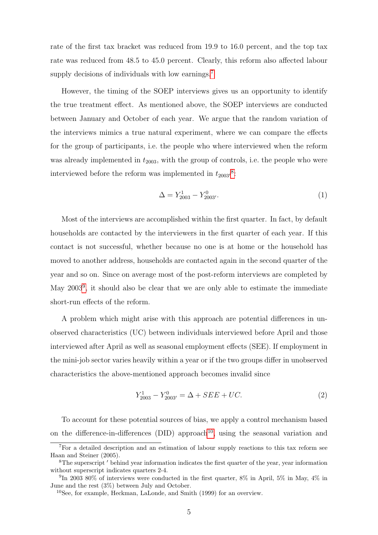rate of the first tax bracket was reduced from 19.9 to 16.0 percent, and the top tax rate was reduced from 48.5 to 45.0 percent. Clearly, this reform also affected labour supply decisions of individuals with low earnings.<sup>[7](#page-7-0)</sup>

However, the timing of the SOEP interviews gives us an opportunity to identify the true treatment effect. As mentioned above, the SOEP interviews are conducted between January and October of each year. We argue that the random variation of the interviews mimics a true natural experiment, where we can compare the effects for the group of participants, i.e. the people who where interviewed when the reform was already implemented in  $t_{2003}$ , with the group of controls, i.e. the people who were interviewed before the reform was implemented in  $t_{2003}$ <sup>[8](#page-7-1)</sup>:

$$
\Delta = Y_{2003}^1 - Y_{2003'}^0. \tag{1}
$$

Most of the interviews are accomplished within the first quarter. In fact, by default households are contacted by the interviewers in the first quarter of each year. If this contact is not successful, whether because no one is at home or the household has moved to another address, households are contacted again in the second quarter of the year and so on. Since on average most of the post-reform interviews are completed by May 2003<sup>[9](#page-7-2)</sup>, it should also be clear that we are only able to estimate the immediate short-run effects of the reform.

A problem which might arise with this approach are potential differences in unobserved characteristics (UC) between individuals interviewed before April and those interviewed after April as well as seasonal employment effects (SEE). If employment in the mini-job sector varies heavily within a year or if the two groups differ in unobserved characteristics the above-mentioned approach becomes invalid since

$$
Y_{2003}^1 - Y_{2003'}^0 = \Delta + SEE + UC.
$$
 (2)

To account for these potential sources of bias, we apply a control mechanism based on the difference-in-differences (DID) approach<sup>[10](#page-7-3)</sup>, using the seasonal variation and

<span id="page-7-0"></span><sup>7</sup>For a detailed description and an estimation of labour supply reactions to this tax reform see Haan and Steiner (2005).

<span id="page-7-1"></span><sup>&</sup>lt;sup>8</sup>The superscript  $'$  behind year information indicates the first quarter of the year, year information without superscript indicates quarters 2-4.

<span id="page-7-2"></span><sup>&</sup>lt;sup>9</sup>In 2003 80% of interviews were conducted in the first quarter, 8% in April, 5% in May, 4% in June and the rest (3%) between July and October.

<span id="page-7-3"></span><sup>10</sup>See, for example, Heckman, LaLonde, and Smith (1999) for an overview.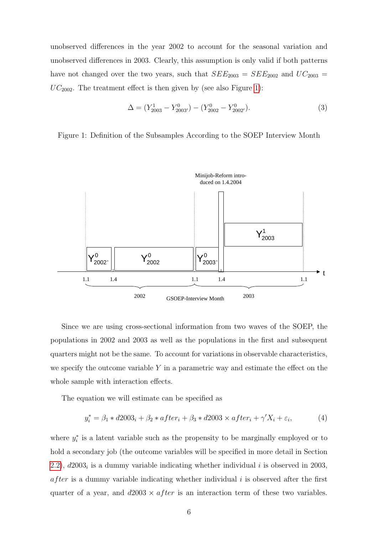unobserved differences in the year 2002 to account for the seasonal variation and unobserved differences in 2003. Clearly, this assumption is only valid if both patterns have not changed over the two years, such that  $SEE_{2003} = SEE_{2002}$  and  $UC_{2003} =$  $UC<sub>2002</sub>$ . The treatment effect is then given by (see also Figure [1\)](#page-8-0):

$$
\Delta = (Y_{2003}^1 - Y_{2003'}^0) - (Y_{2002}^0 - Y_{2002'}^0). \tag{3}
$$

<span id="page-8-0"></span>Figure 1: Definition of the Subsamples According to the SOEP Interview Month



Since we are using cross-sectional information from two waves of the SOEP, the populations in 2002 and 2003 as well as the populations in the first and subsequent quarters might not be the same. To account for variations in observable characteristics, we specify the outcome variable  $Y$  in a parametric way and estimate the effect on the whole sample with interaction effects.

The equation we will estimate can be specified as

<span id="page-8-1"></span>
$$
y_i^* = \beta_1 * d2003_i + \beta_2 * after_i + \beta_3 * d2003 \times after_i + \gamma' X_i + \varepsilon_i,
$$
\n(4)

where  $y_i^*$  is a latent variable such as the propensity to be marginally employed or to hold a secondary job (the outcome variables will be specified in more detail in Section [2.2\)](#page-9-0),  $d2003<sub>i</sub>$  is a dummy variable indicating whether individual i is observed in 2003,  $after$  is a dummy variable indicating whether individual i is observed after the first quarter of a year, and  $d2003 \times after$  is an interaction term of these two variables.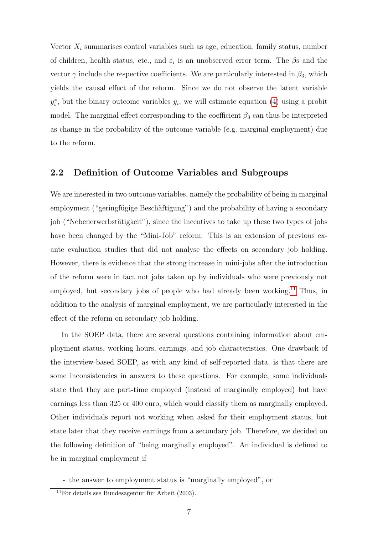Vector  $X_i$  summarises control variables such as age, education, family status, number of children, health status, etc., and  $\varepsilon_i$  is an unobserved error term. The  $\beta$ s and the vector  $\gamma$  include the respective coefficients. We are particularly interested in  $\beta_3$ , which yields the causal effect of the reform. Since we do not observe the latent variable  $y_i^*$ , but the binary outcome variables  $y_i$ , we will estimate equation [\(4\)](#page-8-1) using a probit model. The marginal effect corresponding to the coefficient  $\beta_3$  can thus be interpreted as change in the probability of the outcome variable (e.g. marginal employment) due to the reform.

#### <span id="page-9-0"></span>2.2 Definition of Outcome Variables and Subgroups

We are interested in two outcome variables, namely the probability of being in marginal employment ("gering fügige Beschäftigung") and the probability of having a secondary job ("Nebenerwerbstätigkeit"), since the incentives to take up these two types of jobs have been changed by the "Mini-Job" reform. This is an extension of previous exante evaluation studies that did not analyse the effects on secondary job holding. However, there is evidence that the strong increase in mini-jobs after the introduction of the reform were in fact not jobs taken up by individuals who were previously not employed, but secondary jobs of people who had already been working.<sup>[11](#page-9-1)</sup> Thus, in addition to the analysis of marginal employment, we are particularly interested in the effect of the reform on secondary job holding.

In the SOEP data, there are several questions containing information about employment status, working hours, earnings, and job characteristics. One drawback of the interview-based SOEP, as with any kind of self-reported data, is that there are some inconsistencies in answers to these questions. For example, some individuals state that they are part-time employed (instead of marginally employed) but have earnings less than 325 or 400 euro, which would classify them as marginally employed. Other individuals report not working when asked for their employment status, but state later that they receive earnings from a secondary job. Therefore, we decided on the following definition of "being marginally employed". An individual is defined to be in marginal employment if

- the answer to employment status is "marginally employed", or

<span id="page-9-1"></span> $11$ For details see Bundesagentur für Arbeit (2003).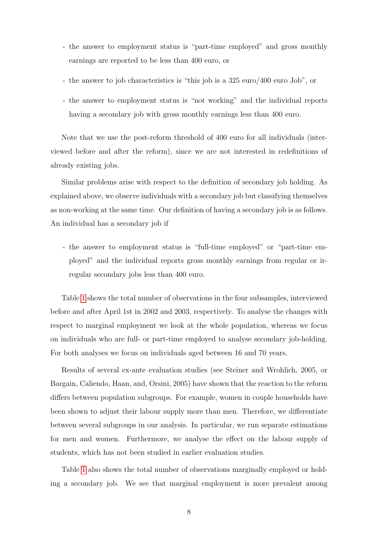- the answer to employment status is "part-time employed" and gross monthly earnings are reported to be less than 400 euro, or
- the answer to job characteristics is "this job is a 325 euro/400 euro Job", or
- the answer to employment status is "not working" and the individual reports having a secondary job with gross monthly earnings less than 400 euro.

Note that we use the post-reform threshold of 400 euro for all individuals (interviewed before and after the reform), since we are not interested in redefinitions of already existing jobs.

Similar problems arise with respect to the definition of secondary job holding. As explained above, we observe individuals with a secondary job but classifying themselves as non-working at the same time. Our definition of having a secondary job is as follows. An individual has a secondary job if

- the answer to employment status is "full-time employed" or "part-time employed" and the individual reports gross monthly earnings from regular or irregular secondary jobs less than 400 euro.

Table [1](#page-11-0) shows the total number of observations in the four subsamples, interviewed before and after April 1st in 2002 and 2003, respectively. To analyse the changes with respect to marginal employment we look at the whole population, whereas we focus on individuals who are full- or part-time employed to analyse secondary job-holding. For both analyses we focus on individuals aged between 16 and 70 years.

Results of several ex-ante evaluation studies (see Steiner and Wrohlich, 2005, or Bargain, Caliendo, Haan, and, Orsini, 2005) have shown that the reaction to the reform differs between population subgroups. For example, women in couple households have been shown to adjust their labour supply more than men. Therefore, we differentiate between several subgroups in our analysis. In particular, we run separate estimations for men and women. Furthermore, we analyse the effect on the labour supply of students, which has not been studied in earlier evaluation studies.

Table [1](#page-11-0) also shows the total number of observations marginally employed or holding a secondary job. We see that marginal employment is more prevalent among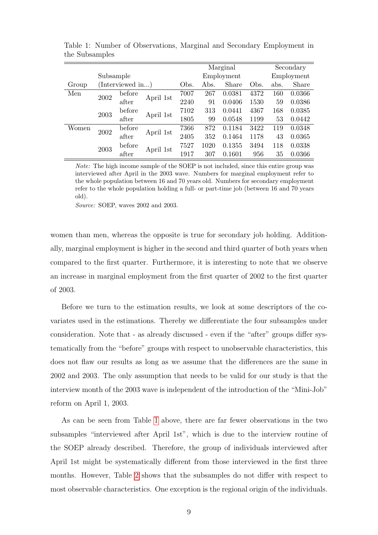|       |                         |                 |           |      | Marginal |            |      | Secondary  |        |
|-------|-------------------------|-----------------|-----------|------|----------|------------|------|------------|--------|
|       | Subsample               |                 |           |      |          | Employment |      | Employment |        |
| Group |                         | Interviewed in) |           | Obs. | Abs.     | Share      | Obs. | abs.       | Share  |
| Men   | 2002                    | before          | April 1st | 7007 | 267      | 0.0381     | 4372 | 160        | 0.0366 |
|       |                         | after           |           | 2240 | 91       | 0.0406     | 1530 | 59         | 0.0386 |
|       | 2003                    | before          | April 1st | 7102 | 313      | 0.0441     | 4367 | 168        | 0.0385 |
|       |                         | after           |           | 1805 | 99       | 0.0548     | 1199 | 53         | 0.0442 |
| Women | 2002                    | before          | April 1st | 7366 | 872      | 0.1184     | 3422 | 119        | 0.0348 |
|       |                         | after           |           | 2405 | 352      | 0.1464     | 1178 | 43         | 0.0365 |
|       | before<br>2003<br>after | April 1st       | 7527      | 1020 | 0.1355   | 3494       | 118  | 0.0338     |        |
|       |                         |                 |           | 1917 | 307      | 0.1601     | 956  | 35         | 0.0366 |

<span id="page-11-0"></span>Table 1: Number of Observations, Marginal and Secondary Employment in the Subsamples

Note: The high income sample of the SOEP is not included, since this entire group was interviewed after April in the 2003 wave. Numbers for marginal employment refer to the whole population between 16 and 70 years old. Numbers for secondary employment refer to the whole population holding a full- or part-time job (between 16 and 70 years old).

Source: SOEP, waves 2002 and 2003.

women than men, whereas the opposite is true for secondary job holding. Additionally, marginal employment is higher in the second and third quarter of both years when compared to the first quarter. Furthermore, it is interesting to note that we observe an increase in marginal employment from the first quarter of 2002 to the first quarter of 2003.

Before we turn to the estimation results, we look at some descriptors of the covariates used in the estimations. Thereby we differentiate the four subsamples under consideration. Note that - as already discussed - even if the "after" groups differ systematically from the "before" groups with respect to unobservable characteristics, this does not flaw our results as long as we assume that the differences are the same in 2002 and 2003. The only assumption that needs to be valid for our study is that the interview month of the 2003 wave is independent of the introduction of the "Mini-Job" reform on April 1, 2003.

As can be seen from Table [1](#page-11-0) above, there are far fewer observations in the two subsamples "interviewed after April 1st", which is due to the interview routine of the SOEP already described. Therefore, the group of individuals interviewed after April 1st might be systematically different from those interviewed in the first three months. However, Table [2](#page-12-1) shows that the subsamples do not differ with respect to most observable characteristics. One exception is the regional origin of the individuals.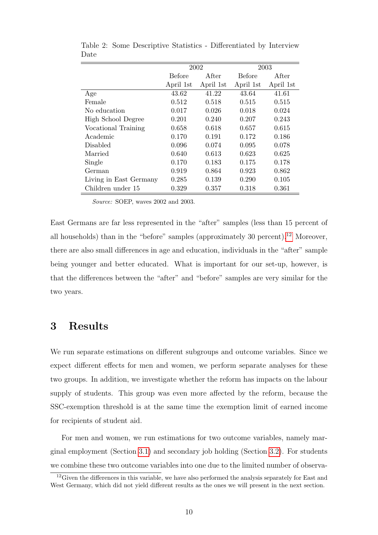|                        |                        | 2002      |               | 2003      |
|------------------------|------------------------|-----------|---------------|-----------|
|                        | After<br><b>Before</b> |           | <b>Before</b> | After     |
|                        | April 1st              | April 1st | April 1st     | April 1st |
| Age                    | 43.62                  | 41.22     | 43.64         | 41.61     |
| Female                 | 0.512                  | 0.518     | 0.515         | 0.515     |
| No education           | 0.017                  | 0.026     | 0.018         | 0.024     |
| High School Degree     | 0.201                  | 0.240     | 0.207         | 0.243     |
| Vocational Training    | 0.658                  | 0.618     | 0.657         | 0.615     |
| Academic               | 0.170                  | 0.191     | 0.172         | 0.186     |
| Disabled               | 0.096                  | 0.074     | 0.095         | 0.078     |
| Married                | 0.640                  | 0.613     | 0.623         | 0.625     |
| Single                 | 0.170                  | 0.183     | 0.175         | 0.178     |
| German                 | 0.919                  | 0.864     | 0.923         | 0.862     |
| Living in East Germany | 0.285                  | 0.139     | 0.290         | 0.105     |
| Children under 15      | 0.329                  | 0.357     | 0.318         | 0.361     |

<span id="page-12-1"></span>Table 2: Some Descriptive Statistics - Differentiated by Interview Date

Source: SOEP, waves 2002 and 2003.

East Germans are far less represented in the "after" samples (less than 15 percent of all households) than in the "before" samples (approximately  $30$  percent).<sup>[12](#page-12-2)</sup> Moreover, there are also small differences in age and education, individuals in the "after" sample being younger and better educated. What is important for our set-up, however, is that the differences between the "after" and "before" samples are very similar for the two years.

### <span id="page-12-0"></span>3 Results

We run separate estimations on different subgroups and outcome variables. Since we expect different effects for men and women, we perform separate analyses for these two groups. In addition, we investigate whether the reform has impacts on the labour supply of students. This group was even more affected by the reform, because the SSC-exemption threshold is at the same time the exemption limit of earned income for recipients of student aid.

For men and women, we run estimations for two outcome variables, namely marginal employment (Section [3.1\)](#page-13-0) and secondary job holding (Section [3.2\)](#page-15-0). For students we combine these two outcome variables into one due to the limited number of observa-

<span id="page-12-2"></span> $12$  Given the differences in this variable, we have also performed the analysis separately for East and West Germany, which did not yield different results as the ones we will present in the next section.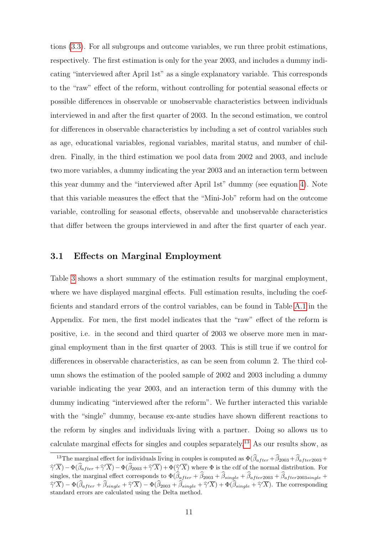tions [\(3.3\)](#page-16-0). For all subgroups and outcome variables, we run three probit estimations, respectively. The first estimation is only for the year 2003, and includes a dummy indicating "interviewed after April 1st" as a single explanatory variable. This corresponds to the "raw" effect of the reform, without controlling for potential seasonal effects or possible differences in observable or unobservable characteristics between individuals interviewed in and after the first quarter of 2003. In the second estimation, we control for differences in observable characteristics by including a set of control variables such as age, educational variables, regional variables, marital status, and number of children. Finally, in the third estimation we pool data from 2002 and 2003, and include two more variables, a dummy indicating the year 2003 and an interaction term between this year dummy and the "interviewed after April 1st" dummy (see equation [4\)](#page-8-1). Note that this variable measures the effect that the "Mini-Job" reform had on the outcome variable, controlling for seasonal effects, observable and unobservable characteristics that differ between the groups interviewed in and after the first quarter of each year.

#### <span id="page-13-0"></span>3.1 Effects on Marginal Employment

Table [3](#page-14-0) shows a short summary of the estimation results for marginal employment, where we have displayed marginal effects. Full estimation results, including the coefficients and standard errors of the control variables, can be found in Table [A.1](#page-11-0) in the Appendix. For men, the first model indicates that the "raw" effect of the reform is positive, i.e. in the second and third quarter of 2003 we observe more men in marginal employment than in the first quarter of 2003. This is still true if we control for differences in observable characteristics, as can be seen from column 2. The third column shows the estimation of the pooled sample of 2002 and 2003 including a dummy variable indicating the year 2003, and an interaction term of this dummy with the dummy indicating "interviewed after the reform". We further interacted this variable with the "single" dummy, because ex-ante studies have shown different reactions to the reform by singles and individuals living with a partner. Doing so allows us to calculate marginal effects for singles and couples separately.[13](#page-13-1) As our results show, as

<span id="page-13-1"></span><sup>&</sup>lt;sup>13</sup>The marginal effect for individuals living in couples is computed as  $\Phi(\widehat{\beta}_{after}+\widehat{\beta}_{2003}+\widehat{\beta}_{after2003}+\widehat{\beta}_{6003}+\widehat{\beta}_{7003}+\widehat{\beta}_{8003}+\widehat{\beta}_{8003}+\widehat{\beta}_{8003}+\widehat{\beta}_{8003}+\widehat{\beta}_{8003}+\widehat{\beta}_{8003}+\widehat{\beta}_{8003}+\widehat{\beta}_{8003}+\widehat{\$  $\hat{\gamma}(\overline{X}) - \Phi(\hat{\beta}_{after} + \hat{\gamma}'\overline{X}) - \Phi(\hat{\beta}_{2003} + \hat{\gamma}'\overline{X}) + \Phi(\hat{\gamma}'\overline{X})$  where  $\Phi$  is the cdf of the normal distribution. For singles, the marginal effect corresponds to  $\Phi(\beta_{after} + \beta_{2003} + \beta_{single} + \beta_{after2003} + \beta_{after2003single} + \cdots)$  $\hat{\gamma}'\overline{X}$  –  $\Phi(\hat{\beta}_{after} + \hat{\beta}_{single} + \hat{\gamma}'\overline{X}) - \Phi(\hat{\beta}_{2003} + \hat{\beta}_{single} + \hat{\gamma}'\overline{X}) + \Phi(\hat{\beta}_{single} + \hat{\gamma}'\overline{X})$ . The corresponding standard errors are calculated using the Delta method.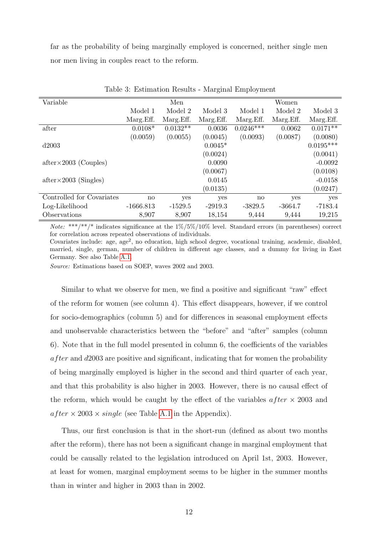far as the probability of being marginally employed is concerned, neither single men nor men living in couples react to the reform.

| Variable                      |             | Men        |           |             | Women     |             |
|-------------------------------|-------------|------------|-----------|-------------|-----------|-------------|
|                               | Model 1     | Model 2    | Model 3   | Model 1     | Model 2   | Model 3     |
|                               | Marg.Eff.   | Marg.Eff.  | Marg.Eff. | Marg.Eff.   | Marg.Eff. | Marg.Eff.   |
| after                         | $0.0108*$   | $0.0132**$ | 0.0036    | $0.0246***$ | 0.0062    | $0.0171**$  |
|                               | (0.0059)    | (0.0055)   | (0.0045)  | (0.0093)    | (0.0087)  | (0.0080)    |
| d2003                         |             |            | $0.0045*$ |             |           | $0.0195***$ |
|                               |             |            | (0.0024)  |             |           | (0.0041)    |
| $after \times 2003$ (Couples) |             |            | 0.0090    |             |           | $-0.0092$   |
|                               |             |            | (0.0067)  |             |           | (0.0108)    |
| $after \times 2003$ (Singles) |             |            | 0.0145    |             |           | $-0.0158$   |
|                               |             |            | (0.0135)  |             |           | (0.0247)    |
| Controlled for Covariates     | no          | yes        | yes       | no          | yes       | yes         |
| Log-Likelihood                | $-1666.813$ | $-1529.5$  | $-2919.3$ | $-3829.5$   | $-3664.7$ | $-7183.4$   |
| Observations                  | 8,907       | 8,907      | 18,154    | 9,444       | 9,444     | 19,215      |

<span id="page-14-0"></span>Table 3: Estimation Results - Marginal Employment

*Note:* \*\*\*/\*\*/\* indicates significance at the  $1\%/5\%/10\%$  level. Standard errors (in parentheses) correct for correlation across repeated observations of individuals.

Covariates include: age, age<sup>2</sup>, no education, high school degree, vocational training, academic, disabled, married, single, german, number of children in different age classes, and a dummy for living in East Germany. See also Table [A.1.](#page-11-0)

Source: Estimations based on SOEP, waves 2002 and 2003.

Similar to what we observe for men, we find a positive and significant "raw" effect of the reform for women (see column 4). This effect disappears, however, if we control for socio-demographics (column 5) and for differences in seasonal employment effects and unobservable characteristics between the "before" and "after" samples (column 6). Note that in the full model presented in column 6, the coefficients of the variables  $a$  *fter* and  $d$ 2003 are positive and significant, indicating that for women the probability of being marginally employed is higher in the second and third quarter of each year, and that this probability is also higher in 2003. However, there is no causal effect of the reform, which would be caught by the effect of the variables  $after \times 2003$  and  $after \times 2003 \times single$  (see Table [A.1](#page-11-0) in the Appendix).

Thus, our first conclusion is that in the short-run (defined as about two months after the reform), there has not been a significant change in marginal employment that could be causally related to the legislation introduced on April 1st, 2003. However, at least for women, marginal employment seems to be higher in the summer months than in winter and higher in 2003 than in 2002.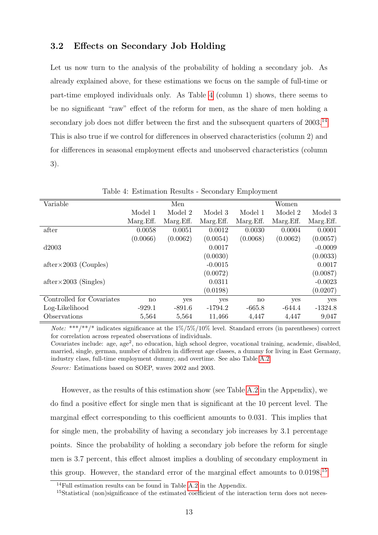#### <span id="page-15-0"></span>3.2 Effects on Secondary Job Holding

Let us now turn to the analysis of the probability of holding a secondary job. As already explained above, for these estimations we focus on the sample of full-time or part-time employed individuals only. As Table [4](#page-15-1) (column 1) shows, there seems to be no significant "raw" effect of the reform for men, as the share of men holding a secondary job does not differ between the first and the subsequent quarters of  $2003$ .<sup>[14](#page-15-2)</sup> This is also true if we control for differences in observed characteristics (column 2) and for differences in seasonal employment effects and unobserved characteristics (column 3).

|              | Men        |            |           | Women      |           |
|--------------|------------|------------|-----------|------------|-----------|
| Model 1      | Model 2    | Model 3    | Model 1   | Model 2    | Model 3   |
| Marg. Eff.   | Marg. Eff. | Marg. Eff. | Marg.Eff. | Marg. Eff. | Marg.Eff. |
| 0.0058       | 0.0051     | 0.0012     | 0.0030    | 0.0004     | 0.0001    |
| (0.0066)     | (0.0062)   | (0.0054)   | (0.0068)  | (0.0062)   | (0.0057)  |
|              |            | 0.0017     |           |            | $-0.0009$ |
|              |            | (0.0030)   |           |            | (0.0033)  |
|              |            | $-0.0015$  |           |            | 0.0017    |
|              |            | (0.0072)   |           |            | (0.0087)  |
|              |            | 0.0311     |           |            | $-0.0023$ |
|              |            | (0.0198)   |           |            | (0.0207)  |
| $\mathbf{n}$ | yes        | yes        | no        | yes        | yes       |
| $-929.1$     | $-891.6$   | $-1794.2$  | $-665.8$  | $-644.4$   | $-1324.8$ |
| 5,564        | 5,564      | 11,466     | 4,447     | 4,447      | 9,047     |
|              |            |            |           |            |           |

#### <span id="page-15-1"></span>Table 4: Estimation Results - Secondary Employment

*Note:* \*\*\*/\*\*/\* indicates significance at the  $1\%/5\%/10\%$  level. Standard errors (in parentheses) correct for correlation across repeated observations of individuals.

Covariates include: age, age<sup>2</sup>, no education, high school degree, vocational training, academic, disabled, married, single, german, number of children in different age classes, a dummy for living in East Germany, industry class, full-time employment dummy, and overtime. See also Table [A.2.](#page-12-1)

Source: Estimations based on SOEP, waves 2002 and 2003.

However, as the results of this estimation show (see Table [A.2](#page-12-1) in the Appendix), we do find a positive effect for single men that is significant at the 10 percent level. The marginal effect corresponding to this coefficient amounts to 0.031. This implies that for single men, the probability of having a secondary job increases by 3.1 percentage points. Since the probability of holding a secondary job before the reform for single men is 3.7 percent, this effect almost implies a doubling of secondary employment in this group. However, the standard error of the marginal effect amounts to 0.0198.[15](#page-15-3)

<span id="page-15-2"></span><sup>&</sup>lt;sup>14</sup>Full estimation results can be found in Table [A.2](#page-12-1) in the Appendix.

<span id="page-15-3"></span><sup>&</sup>lt;sup>15</sup>Statistical (non)significance of the estimated coefficient of the interaction term does not neces-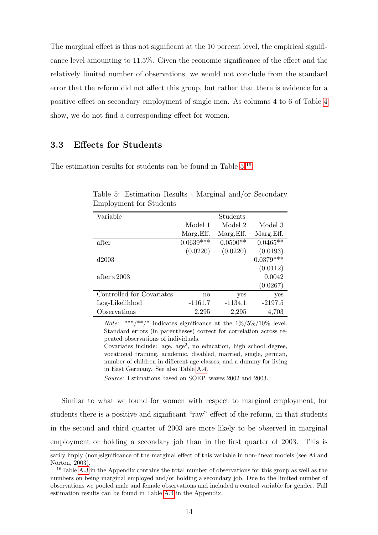The marginal effect is thus not significant at the 10 percent level, the empirical significance level amounting to 11.5%. Given the economic significance of the effect and the relatively limited number of observations, we would not conclude from the standard error that the reform did not affect this group, but rather that there is evidence for a positive effect on secondary employment of single men. As columns 4 to 6 of Table [4](#page-15-1) show, we do not find a corresponding effect for women.

#### <span id="page-16-0"></span>3.3 Effects for Students

The estimation results for students can be found in Table [5.](#page-16-1)[16](#page-16-2)

| Variable                  |                        | Students   |             |
|---------------------------|------------------------|------------|-------------|
|                           | Model 1                | Model 2    | Model 3     |
|                           | Marg. Eff.             | Marg.Eff.  | Marg.Eff.   |
| after                     | $0.0639***$            | $0.0500**$ | $0.0465**$  |
|                           | (0.0220)               | (0.0220)   | (0.0193)    |
| d2003                     |                        |            | $0.0379***$ |
|                           |                        |            | (0.0112)    |
| $after \times 2003$       |                        |            | 0.0042      |
|                           |                        |            | (0.0267)    |
| Controlled for Covariates | $\mathop{\mathrm{no}}$ | yes        | yes         |
| Log-Likelihhod            | $-1161.7$              | $-1134.1$  | $-2197.5$   |
| Observations              | 2,295                  | 2,295      | 4,703       |

<span id="page-16-1"></span>Table 5: Estimation Results - Marginal and/or Secondary Employment for Students

*Note:* \*\*\*/\*\*/\* indicates significance at the  $1\%/5\%/10\%$  level. Standard errors (in parentheses) correct for correlation across repeated observations of individuals.

Covariates include: age,  $age^2$ , no education, high school degree, vocational training, academic, disabled, married, single, german, number of children in different age classes, and a dummy for living in East Germany. See also Table [A.4.](#page-15-1)

Source: Estimations based on SOEP, waves 2002 and 2003.

Similar to what we found for women with respect to marginal employment, for students there is a positive and significant "raw" effect of the reform, in that students in the second and third quarter of 2003 are more likely to be observed in marginal employment or holding a secondary job than in the first quarter of 2003. This is

sarily imply (non)significance of the marginal effect of this variable in non-linear models (see Ai and Norton, 2003).

<span id="page-16-2"></span><sup>&</sup>lt;sup>16</sup>Table [A.3](#page-14-0) in the Appendix contains the total number of observations for this group as well as the numbers on being marginal employed and/or holding a secondary job. Due to the limited number of observations we pooled male and female observations and included a control variable for gender. Full estimation results can be found in Table [A.4](#page-15-1) in the Appendix.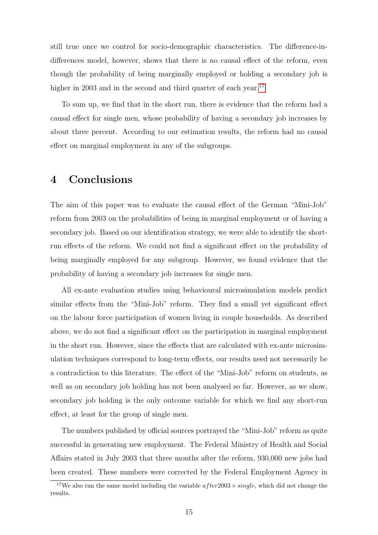still true once we control for socio-demographic characteristics. The difference-indifferences model, however, shows that there is no causal effect of the reform, even though the probability of being marginally employed or holding a secondary job is higher in 2003 and in the second and third quarter of each year.<sup>[17](#page-17-1)</sup>

To sum up, we find that in the short run, there is evidence that the reform had a causal effect for single men, whose probability of having a secondary job increases by about three percent. According to our estimation results, the reform had no causal effect on marginal employment in any of the subgroups.

### <span id="page-17-0"></span>4 Conclusions

The aim of this paper was to evaluate the causal effect of the German "Mini-Job" reform from 2003 on the probabilities of being in marginal employment or of having a secondary job. Based on our identification strategy, we were able to identify the shortrun effects of the reform. We could not find a significant effect on the probability of being marginally employed for any subgroup. However, we found evidence that the probability of having a secondary job increases for single men.

All ex-ante evaluation studies using behavioural microsimulation models predict similar effects from the "Mini-Job" reform. They find a small yet significant effect on the labour force participation of women living in couple households. As described above, we do not find a significant effect on the participation in marginal employment in the short run. However, since the effects that are calculated with ex-ante microsimulation techniques correspond to long-term effects, our results need not necessarily be a contradiction to this literature. The effect of the "Mini-Job" reform on students, as well as on secondary job holding has not been analysed so far. However, as we show, secondary job holding is the only outcome variable for which we find any short-run effect, at least for the group of single men.

The numbers published by official sources portrayed the "Mini-Job" reform as quite successful in generating new employment. The Federal Ministry of Health and Social Affairs stated in July 2003 that three months after the reform, 930,000 new jobs had been created. These numbers were corrected by the Federal Employment Agency in

<span id="page-17-1"></span><sup>&</sup>lt;sup>17</sup>We also ran the same model including the variable  $after2003 \times single$ , which did not change the results.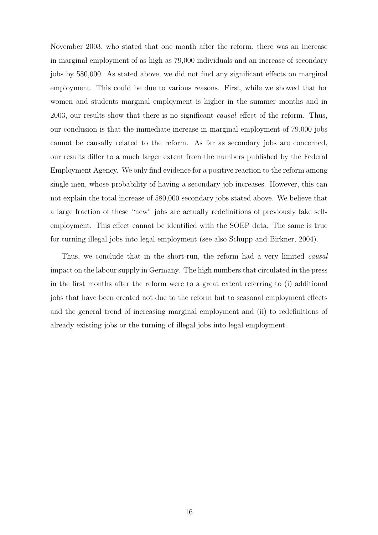November 2003, who stated that one month after the reform, there was an increase in marginal employment of as high as 79,000 individuals and an increase of secondary jobs by 580,000. As stated above, we did not find any significant effects on marginal employment. This could be due to various reasons. First, while we showed that for women and students marginal employment is higher in the summer months and in 2003, our results show that there is no significant causal effect of the reform. Thus, our conclusion is that the immediate increase in marginal employment of 79,000 jobs cannot be causally related to the reform. As far as secondary jobs are concerned, our results differ to a much larger extent from the numbers published by the Federal Employment Agency. We only find evidence for a positive reaction to the reform among single men, whose probability of having a secondary job increases. However, this can not explain the total increase of 580,000 secondary jobs stated above. We believe that a large fraction of these "new" jobs are actually redefinitions of previously fake selfemployment. This effect cannot be identified with the SOEP data. The same is true for turning illegal jobs into legal employment (see also Schupp and Birkner, 2004).

Thus, we conclude that in the short-run, the reform had a very limited *causal* impact on the labour supply in Germany. The high numbers that circulated in the press in the first months after the reform were to a great extent referring to (i) additional jobs that have been created not due to the reform but to seasonal employment effects and the general trend of increasing marginal employment and (ii) to redefinitions of already existing jobs or the turning of illegal jobs into legal employment.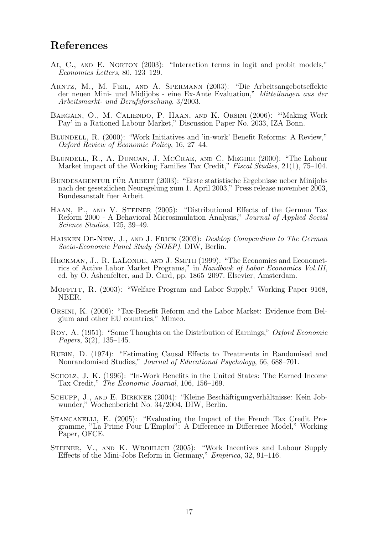### References

- AI, C., AND E. NORTON (2003): "Interaction terms in logit and probit models," Economics Letters, 80, 123–129.
- Arntz, M., M. Feil, and A. Spermann (2003): "Die Arbeitsangebotseffekte der neuen Mini- und Midijobs - eine Ex-Ante Evaluation," Mitteilungen aus der Arbeitsmarkt- und Berufsforschung, 3/2003.
- Bargain, O., M. Caliendo, P. Haan, and K. Orsini (2006): "'Making Work Pay' in a Rationed Labour Market," Discussion Paper No. 2033, IZA Bonn.
- Blundell, R. (2000): "Work Initiatives and 'in-work' Benefit Reforms: A Review," Oxford Review of Economic Policy, 16, 27–44.
- Blundell, R., A. Duncan, J. McCrae, and C. Meghir (2000): "The Labour Market impact of the Working Families Tax Credit," Fiscal Studies, 21(1), 75–104.
- BUNDESAGENTUR FÜR ARBEIT (2003): "Erste statistische Ergebnisse ueber Minijobs nach der gesetzlichen Neuregelung zum 1. April 2003," Press release november 2003, Bundesanstalt fuer Arbeit.
- HAAN, P., AND V. STEINER (2005): "Distributional Effects of the German Tax Reform 2000 - A Behavioral Microsimulation Analysis," Journal of Applied Social Science Studies, 125, 39–49.
- HAISKEN DE-NEW, J., AND J. FRICK (2003): Desktop Compendium to The German Socio-Economic Panel Study (SOEP). DIW, Berlin.
- HECKMAN, J., R. LALONDE, AND J. SMITH (1999): "The Economics and Econometrics of Active Labor Market Programs," in Handbook of Labor Economics Vol.III, ed. by O. Ashenfelter, and D. Card, pp. 1865–2097. Elsevier, Amsterdam.
- MOFFITT, R. (2003): "Welfare Program and Labor Supply," Working Paper 9168, NBER.
- Orsini, K. (2006): "Tax-Benefit Reform and the Labor Market: Evidence from Belgium and other EU countries," Mimeo.
- Roy, A. (1951): "Some Thoughts on the Distribution of Earnings," Oxford Economic Papers, 3(2), 135–145.
- Rubin, D. (1974): "Estimating Causal Effects to Treatments in Randomised and Nonrandomised Studies," Journal of Educational Psychology, 66, 688–701.
- Scholz, J. K. (1996): "In-Work Benefits in the United States: The Earned Income Tax Credit," The Economic Journal, 106, 156–169.
- SCHUPP, J., AND E. BIRKNER (2004): "Kleine Beschäftigungverhältnisse: Kein Jobwunder," Wochenbericht No. 34/2004, DIW, Berlin.
- STANCANELLI, E. (2005): "Evaluating the Impact of the French Tax Credit Programme, "La Prime Pour L'Emploi": A Difference in Difference Model," Working Paper, OFCE.
- STEINER, V., AND K. WROHLICH (2005): "Work Incentives and Labour Supply Effects of the Mini-Jobs Reform in Germany," Empirica, 32, 91–116.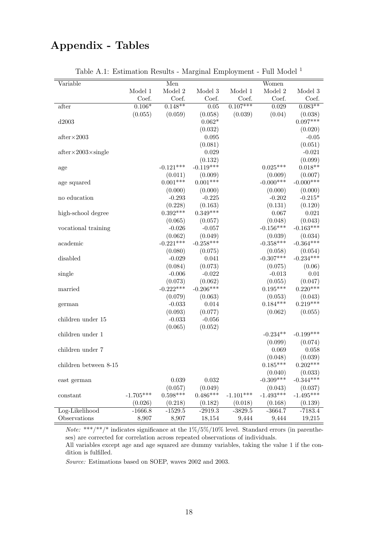## Appendix - Tables

| Variable                          |             | Men         |             |             | Women       |             |
|-----------------------------------|-------------|-------------|-------------|-------------|-------------|-------------|
|                                   | Model 1     | Model 2     | Model 3     | Model 1     | Model 2     | Model 3     |
|                                   | Coef.       | Coef.       | Coef.       | Coef.       | Coef.       | Coef.       |
| after                             | $0.106*$    | $0.148**$   | 0.05        | $0.107***$  | 0.029       | $0.083**$   |
|                                   | (0.055)     | (0.059)     | (0.058)     | (0.039)     | (0.04)      | (0.038)     |
| d2003                             |             |             | $0.062*$    |             |             | $0.097***$  |
|                                   |             |             | (0.032)     |             |             | (0.020)     |
| $after \times 2003$               |             |             | 0.095       |             |             | $-0.05$     |
|                                   |             |             | (0.081)     |             |             | (0.051)     |
| $after \times 2003 \times single$ |             |             | 0.029       |             |             | $-0.021$    |
|                                   |             |             | (0.132)     |             |             | (0.099)     |
| age                               |             | $-0.121***$ | $-0.119***$ |             | $0.025***$  | $0.018**$   |
|                                   |             | (0.011)     | (0.009)     |             | (0.009)     | (0.007)     |
| age squared                       |             | $0.001***$  | $0.001***$  |             | $-0.000***$ | $-0.000***$ |
|                                   |             | (0.000)     | (0.000)     |             | (0.000)     | (0.000)     |
| no education                      |             | $-0.293$    | $-0.225$    |             | $-0.202$    | $-0.215*$   |
|                                   |             | (0.228)     | (0.163)     |             | (0.131)     | (0.120)     |
| high-school degree                |             | $0.392***$  | $0.349***$  |             | 0.067       | 0.021       |
|                                   |             | (0.065)     | (0.057)     |             | (0.048)     | (0.043)     |
| vocational training               |             | $-0.026$    | $-0.057$    |             | $-0.156***$ | $-0.163***$ |
|                                   |             | (0.062)     | (0.049)     |             | (0.039)     | (0.034)     |
| academic                          |             | $-0.221***$ | $-0.258***$ |             | $-0.358***$ | $-0.364***$ |
|                                   |             | (0.080)     | (0.075)     |             | (0.058)     | (0.054)     |
| disabled                          |             | $-0.029$    | 0.041       |             | $-0.307***$ | $-0.234***$ |
|                                   |             | (0.084)     | (0.073)     |             | (0.075)     | (0.06)      |
| single                            |             | $-0.006$    | $-0.022$    |             | $-0.013$    | 0.01        |
|                                   |             | (0.073)     | (0.062)     |             | (0.055)     | (0.047)     |
| married                           |             | $-0.222***$ | $-0.206***$ |             | $0.195***$  | $0.220***$  |
|                                   |             | (0.079)     | (0.063)     |             | (0.053)     | (0.043)     |
| german                            |             | $-0.033$    | 0.014       |             | $0.184***$  | $0.219***$  |
|                                   |             | (0.093)     | (0.077)     |             | (0.062)     | (0.055)     |
| children under 15                 |             | $-0.033$    | $-0.056$    |             |             |             |
|                                   |             | (0.065)     | (0.052)     |             |             |             |
| children under 1                  |             |             |             |             | $-0.234**$  | $-0.199***$ |
|                                   |             |             |             |             | (0.099)     | (0.074)     |
| children under 7                  |             |             |             |             | 0.069       | 0.058       |
|                                   |             |             |             |             | (0.048)     | (0.039)     |
| children between 8-15             |             |             |             |             | $0.185***$  | $0.202***$  |
|                                   |             |             |             |             | (0.040)     | (0.033)     |
| east german                       |             | 0.039       | 0.032       |             | $-0.309***$ | $-0.344***$ |
|                                   |             | (0.057)     | (0.049)     |             | (0.043)     | (0.037)     |
| constant                          | $-1.705***$ | $0.598***$  | $0.486***$  | $-1.101***$ | $-1.493***$ | $-1.495***$ |
|                                   | (0.026)     | (0.218)     | (0.182)     | (0.018)     | (0.168)     | (0.139)     |
| Log-Likelihood                    | $-1666.8$   | $-1529.5$   | $-2919.3$   | $-3829.5$   | $-3664.7$   | $-7183.4$   |
| Observations                      | 8,907       | 8,907       | 18,154      | 9,444       | 9,444       | 19,215      |

|  |  | Table A.1: Estimation Results - Marginal Employment - Full Model <sup>1</sup> |  |
|--|--|-------------------------------------------------------------------------------|--|
|  |  |                                                                               |  |

*Note:* \*\*\*/\*\*/\* indicates significance at the  $1\%/5\%/10\%$  level. Standard errors (in parentheses) are corrected for correlation across repeated observations of individuals.

All variables except age and age squared are dummy variables, taking the value 1 if the condition is fulfilled.

Source: Estimations based on SOEP, waves 2002 and 2003.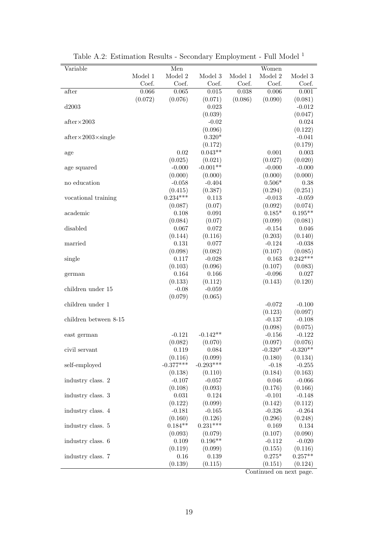| Variable                          |                | Men            |                |                | Women          |                |
|-----------------------------------|----------------|----------------|----------------|----------------|----------------|----------------|
|                                   | Model 1        | Model 2        | Model 3        | Model 1        | Model 2        | Model 3        |
| after                             | Coef.<br>0.066 | Coef.<br>0.065 | Coef.<br>0.015 | Coef.<br>0.038 | Coef.<br>0.006 | Coef.<br>0.001 |
|                                   | (0.072)        | (0.076)        | (0.071)        | (0.086)        | (0.090)        | (0.081)        |
| d2003                             |                |                | 0.023          |                |                | $-0.012$       |
|                                   |                |                | (0.039)        |                |                | (0.047)        |
| $after \times 2003$               |                |                | $-0.02$        |                |                | 0.024          |
|                                   |                |                | (0.096)        |                |                | (0.122)        |
| $after \times 2003 \times single$ |                |                | $0.320*$       |                |                | $-0.041$       |
|                                   |                |                | (0.172)        |                |                | (0.179)        |
| age                               |                | 0.02           | $0.043**$      |                | 0.001          | 0.003          |
|                                   |                | (0.025)        | (0.021)        |                | (0.027)        | (0.020)        |
| age squared                       |                | $-0.000$       | $-0.001**$     |                | $-0.000$       | $-0.000$       |
|                                   |                | (0.000)        | (0.000)        |                | (0.000)        | (0.000)        |
| no education                      |                | $-0.058$       | $-0.404$       |                | $0.506*$       | 0.38           |
|                                   |                | (0.415)        | (0.387)        |                | (0.294)        | (0.251)        |
| vocational training               |                | $0.234***$     | 0.113          |                | $-0.013$       | $-0.059$       |
|                                   |                | (0.087)        | (0.07)         |                | (0.092)        | (0.074)        |
| academic                          |                | 0.108          | 0.091          |                | $0.185*$       | $0.195**$      |
|                                   |                | (0.084)        | (0.07)         |                | (0.099)        | (0.081)        |
| disabled                          |                | 0.067          | 0.072          |                | $-0.154$       | 0.046          |
|                                   |                | (0.144)        | (0.116)        |                | (0.203)        | (0.140)        |
| married                           |                | 0.131          | 0.077          |                | $-0.124$       | $-0.038$       |
|                                   |                | (0.098)        | (0.082)        |                | (0.107)        | (0.085)        |
| single                            |                | 0.117          | $-0.028$       |                | 0.163          | $0.242***$     |
|                                   |                | (0.103)        | (0.096)        |                | (0.107)        | (0.083)        |
| german                            |                | 0.164          | 0.166          |                | $-0.096$       | 0.027          |
|                                   |                | (0.133)        | (0.112)        |                | (0.143)        | (0.120)        |
| children under 15                 |                | $-0.08$        | $-0.059$       |                |                |                |
|                                   |                | (0.079)        | (0.065)        |                |                |                |
| children under 1                  |                |                |                |                | $-0.072$       | $-0.100$       |
|                                   |                |                |                |                | (0.123)        | (0.097)        |
| children between 8-15             |                |                |                |                | $-0.137$       | $-0.108$       |
|                                   |                |                |                |                | (0.098)        | (0.075)        |
| east german                       |                | $-0.121$       | $-0.142**$     |                | $-0.156$       | $-0.122$       |
|                                   |                | (0.082)        | (0.070)        |                | (0.097)        | (0.076)        |
| civil servant                     |                | 0.119          | 0.084          |                | $-0.320*$      | $-0.320**$     |
|                                   |                | (0.116)        | (0.099)        |                | (0.180)        | (0.134)        |
| self-employed                     |                | $-0.377***$    | $-0.293***$    |                | $-0.18$        | $-0.255$       |
|                                   |                | (0.138)        | (0.110)        |                | (0.184)        | (0.163)        |
| industry class. 2                 |                | $-0.107$       | $-0.057$       |                | 0.046          | $-0.066$       |
|                                   |                | (0.108)        | (0.093)        |                | (0.176)        | (0.166)        |
| industry class. 3                 |                | 0.031          | 0.124          |                | $-0.101$       | $-0.148$       |
|                                   |                | (0.122)        | (0.099)        |                | (0.142)        | (0.112)        |
| industry class. 4                 |                | $-0.181$       | $-0.165$       |                | $-0.326$       | $-0.264$       |
|                                   |                | (0.160)        | (0.126)        |                | (0.296)        | (0.248)        |
| industry class. 5                 |                | $0.184**$      | $0.231***$     |                | 0.169          | 0.134          |
|                                   |                | (0.093)        | (0.079)        |                | (0.107)        | (0.090)        |
| industry class. 6                 |                | 0.109          | $0.196**$      |                | $-0.112$       | $-0.020$       |
|                                   |                | (0.119)        | (0.099)        |                | (0.155)        | (0.116)        |
|                                   |                |                |                |                |                |                |
| industry class. 7                 |                | 0.16           | 0.139          |                | $0.275*$       | $0.257**$      |

Table A.2: Estimation Results - Secondary Employment - Full Model  $^{\rm 1}$ 

Continued on next page.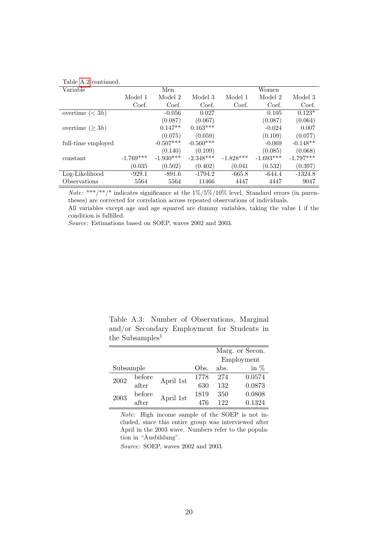| Table A.2 continued. |             |             |             |             |             |             |
|----------------------|-------------|-------------|-------------|-------------|-------------|-------------|
| Variable             |             | Men         |             |             | Women       |             |
|                      | Model 1     | Model 2     | Model 3     | Model 1     | Model 2     | Model 3     |
|                      | Coef.       | Coef.       | Coef.       | Coef.       | Coef.       | Coef.       |
| overtime $(< 3h)$    |             | $-0.056$    | 0.027       |             | 0.105       | $0.123*$    |
|                      |             | (0.087)     | (0.067)     |             | (0.087)     | (0.064)     |
| overtime $(\geq 3h)$ |             | $0.147**$   | $0.163***$  |             | $-0.024$    | 0.007       |
|                      |             | (0.075)     | (0.059)     |             | (0.109)     | (0.077)     |
| full-time employed   |             | $-0.507***$ | $-0.560***$ |             | $-0.069$    | $-0.148**$  |
|                      |             | (0.140)     | (0.109)     |             | (0.085)     | (0.068)     |
| constant             | $-1.769***$ | $-1.930***$ | $-2.348***$ | $-1.828***$ | $-1.693***$ | $-1.797***$ |
|                      | (0.035)     | (0.502)     | (0.402)     | (0.041)     | (0.532)     | (0.397)     |
| Log-Likelihood       | $-929.1$    | $-891.6$    | $-1794.2$   | $-665.8$    | $-644.4$    | $-1324.8$   |
| Observations         | 5564        | 5564        | 11466       | 4447        | 4447        | 9047        |

*Note:* \*\*\*/\*\*/\* indicates significance at the  $1\%/5\%/10\%$  level. Standard errors (in parentheses) are corrected for correlation across repeated observations of individuals.

All variables except age and age squared are dummy variables, taking the value 1 if the condition is fulfilled.

Source: Estimations based on SOEP, waves 2002 and 2003.

Table A.3: Number of Observations, Marginal and/or Secondary Employment for Students in the Subsamples<sup>1</sup>

|           |        |           |      |      | Marg. or Secon. |
|-----------|--------|-----------|------|------|-----------------|
|           |        |           |      |      | Employment      |
| Subsample |        |           | Obs. | abs. | in $%$          |
| 2002      | before | April 1st | 1778 | 274  | 0.0574          |
|           | after  |           | 630  | 132  | 0.0873          |
|           | before |           | 1819 | 350  | 0.0808          |
| 2003      | after  | April 1st | 476  | 122  | 0.1324          |

Note: High income sample of the SOEP is not included, since this entire group was interviewed after April in the 2003 wave. Numbers refer to the population in "Ausbildung".

Source: SOEP, waves 2002 and 2003.